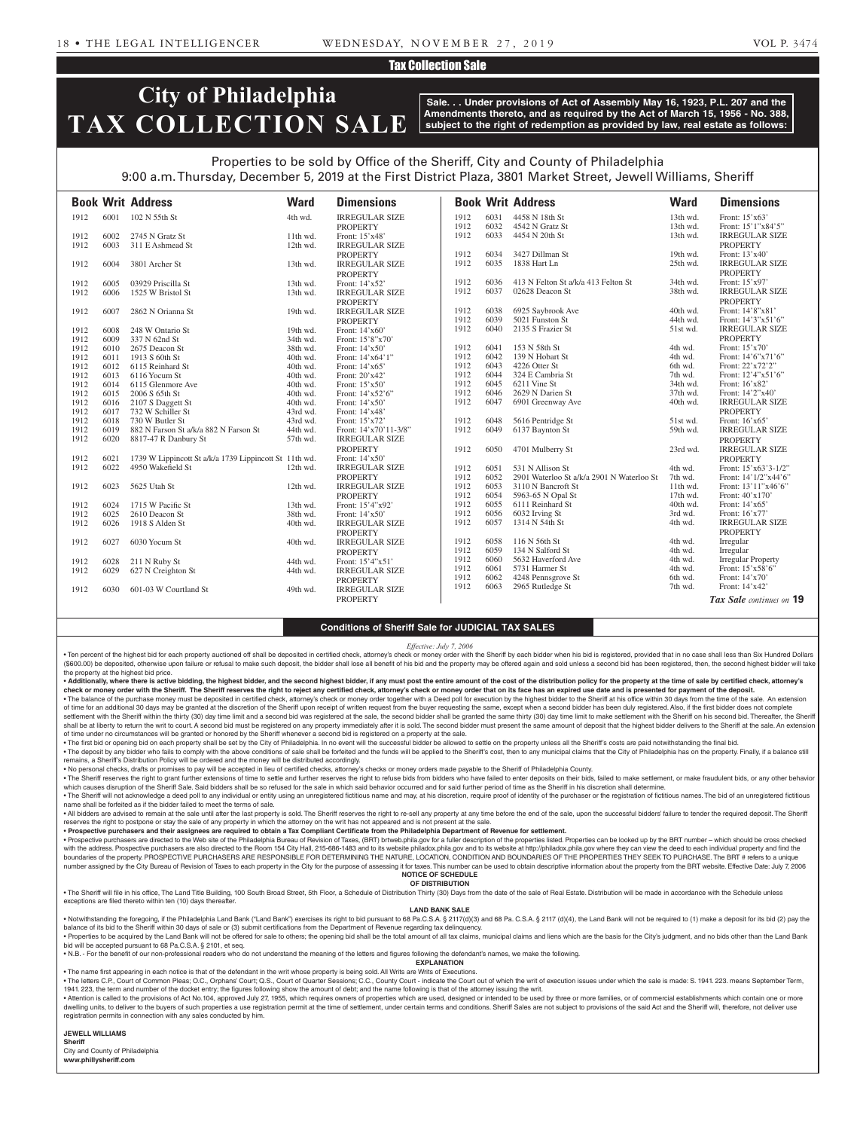## Tax Collection Sale

# **City of Philadelphia TAX COLLECTION SALE**

**Sale. . . Under provisions of Act of Assembly May 16, 1923, P.L. 207 and the Amendments thereto, and as required by the Act of March 15, 1956 - No. 388, subject to the right of redemption as provided by law, real estate as follows:**

## Properties to be sold by Office of the Sheriff, City and County of Philadelphia 9:00 a.m. Thursday, December 5, 2019 at the First District Plaza, 3801 Market Street, Jewell Williams, Sheriff

|      |      | <b>Book Writ Address</b>                               | <b>Ward</b> | <b>Dimensions</b>     |      |      | <b>Book Writ Address</b>                  | <b>Ward</b> | <b>Dimensions</b>             |
|------|------|--------------------------------------------------------|-------------|-----------------------|------|------|-------------------------------------------|-------------|-------------------------------|
| 1912 | 6001 | 102 N 55th St                                          | 4th wd.     | <b>IRREGULAR SIZE</b> | 1912 | 6031 | 4458 N 18th St                            | 13th wd.    | Front: 15'x63'                |
|      |      |                                                        |             | <b>PROPERTY</b>       | 1912 | 6032 | 4542 N Gratz St                           | 13th wd.    | Front: 15'1"x84'5"            |
| 1912 | 6002 | 2745 N Gratz St                                        | 11th wd.    | Front: 15'x48'        | 1912 | 6033 | 4454 N 20th St                            | 13th wd.    | <b>IRREGULAR SIZE</b>         |
| 1912 | 6003 | 311 E Ashmead St                                       | 12th wd.    | <b>IRREGULAR SIZE</b> |      |      |                                           |             | <b>PROPERTY</b>               |
|      |      |                                                        |             | <b>PROPERTY</b>       | 1912 | 6034 | 3427 Dillman St                           | 19th wd.    | Front: 13'x40'                |
| 1912 | 6004 | 3801 Archer St                                         | 13th wd.    | <b>IRREGULAR SIZE</b> | 1912 | 6035 | 1838 Hart Ln                              | 25th wd.    | <b>IRREGULAR SIZE</b>         |
|      |      |                                                        |             | <b>PROPERTY</b>       |      |      |                                           |             | <b>PROPERTY</b>               |
| 1912 | 6005 | 03929 Priscilla St                                     | 13th wd.    | Front: 14'x52'        | 1912 | 6036 | 413 N Felton St a/k/a 413 Felton St       | 34th wd.    | Front: 15'x97'                |
| 1912 | 6006 | 1525 W Bristol St                                      | 13th wd.    | <b>IRREGULAR SIZE</b> | 1912 | 6037 | 02628 Deacon St                           | 38th wd.    | <b>IRREGULAR SIZE</b>         |
|      |      |                                                        |             | <b>PROPERTY</b>       |      |      |                                           |             | <b>PROPERTY</b>               |
| 1912 | 6007 | 2862 N Orianna St                                      | 19th wd.    | <b>IRREGULAR SIZE</b> | 1912 | 6038 | 6925 Saybrook Ave                         | 40th wd.    | Front: 14'8"x81'              |
|      |      |                                                        |             | <b>PROPERTY</b>       | 1912 | 6039 | 5021 Funston St                           | 44th wd.    | Front: 14'3"x51'6"            |
| 1912 | 6008 | 248 W Ontario St                                       | 19th wd.    | Front: 14'x60'        | 1912 | 6040 | 2135 S Frazier St                         | 51st wd.    | <b>IRREGULAR SIZE</b>         |
| 1912 | 6009 | 337 N 62nd St                                          | 34th wd.    | Front: 15'8"x70'      |      |      |                                           |             | <b>PROPERTY</b>               |
| 1912 | 6010 | 2675 Deacon St                                         | 38th wd.    | Front: 14'x50'        | 1912 | 6041 | 153 N 58th St                             | 4th wd.     | Front: $15'x70'$              |
| 1912 | 6011 | 1913 S 60th St                                         | 40th wd.    | Front: 14'x64'1"      | 1912 | 6042 | 139 N Hobart St                           | 4th wd.     | Front: 14'6"x71'6"            |
| 1912 | 6012 | 6115 Reinhard St                                       | 40th wd.    | Front: 14'x65'        | 1912 | 6043 | 4226 Otter St                             | 6th wd.     | Front: 22'x72'2"              |
| 1912 | 6013 | 6116 Yocum St                                          | 40th wd.    | Front: 20'x42'        | 1912 | 6044 | 324 E Cambria St                          | 7th wd.     | Front: 12'4"x51'6"            |
| 1912 | 6014 | 6115 Glenmore Ave                                      | 40th wd.    | Front: 15'x50'        | 1912 | 6045 | 6211 Vine St                              | 34th wd.    | Front: 16'x82'                |
| 1912 | 6015 | 2006 S 65th St                                         | 40th wd.    | Front: 14'x52'6"      | 1912 | 6046 | 2629 N Darien St                          | 37th wd.    | Front: 14'2"x40'              |
| 1912 | 6016 | 2107 S Daggett St                                      | 40th wd.    | Front: 14'x50'        | 1912 | 6047 | 6901 Greenway Ave                         | 40th wd.    | <b>IRREGULAR SIZE</b>         |
| 1912 | 6017 | 732 W Schiller St                                      | 43rd wd.    | Front: 14'x48'        |      |      |                                           |             | <b>PROPERTY</b>               |
| 1912 | 6018 | 730 W Butler St                                        | 43rd wd.    | Front: 15'x72'        | 1912 | 6048 | 5616 Pentridge St                         | 51st wd.    | Front: 16'x65'                |
| 1912 | 6019 | 882 N Farson St a/k/a 882 N Farson St                  | 44th wd.    | Front: 14'x70'11-3/8" | 1912 | 6049 | 6137 Baynton St                           | 59th wd.    | <b>IRREGULAR SIZE</b>         |
| 1912 | 6020 | 8817-47 R Danbury St                                   | 57th wd.    | <b>IRREGULAR SIZE</b> |      |      |                                           |             | <b>PROPERTY</b>               |
|      |      |                                                        |             | <b>PROPERTY</b>       | 1912 | 6050 | 4701 Mulberry St                          | 23rd wd.    | <b>IRREGULAR SIZE</b>         |
| 1912 | 6021 | 1739 W Lippincott St a/k/a 1739 Lippincott St 11th wd. |             | Front: 14'x50'        |      |      |                                           |             | <b>PROPERTY</b>               |
| 1912 | 6022 | 4950 Wakefield St                                      | 12th wd.    | <b>IRREGULAR SIZE</b> | 1912 | 6051 | 531 N Allison St                          | 4th wd.     | Front: 15'x63'3-1/2"          |
|      |      |                                                        |             | <b>PROPERTY</b>       | 1912 | 6052 | 2901 Waterloo St a/k/a 2901 N Waterloo St | 7th wd.     | Front: 14'1/2"x44'6"          |
| 1912 | 6023 | 5625 Utah St                                           | 12th wd.    | <b>IRREGULAR SIZE</b> | 1912 | 6053 | 3110 N Bancroft St                        | $11th$ wd.  | Front: 13'11"x46'6"           |
|      |      |                                                        |             | <b>PROPERTY</b>       | 1912 | 6054 | 5963-65 N Opal St                         | $17th$ wd.  | Front: 40'x170'               |
| 1912 | 6024 | 1715 W Pacific St                                      | 13th wd.    | Front: 15'4"x92'      | 1912 | 6055 | 6111 Reinhard St                          | 40th wd.    | Front: 14'x65'                |
| 1912 | 6025 | 2610 Deacon St                                         | 38th wd.    | Front: 14'x50'        | 1912 | 6056 | 6032 Irving St                            | 3rd wd.     | Front: 16'x77'                |
| 1912 | 6026 | 1918 S Alden St                                        | 40th wd.    | <b>IRREGULAR SIZE</b> | 1912 | 6057 | 1314 N 54th St                            | 4th wd.     | <b>IRREGULAR SIZE</b>         |
|      |      |                                                        |             | <b>PROPERTY</b>       |      |      |                                           |             | <b>PROPERTY</b>               |
| 1912 | 6027 | 6030 Yocum St                                          | 40th wd.    | <b>IRREGULAR SIZE</b> | 1912 | 6058 | 116 N 56th St                             | 4th wd.     | Irregular                     |
|      |      |                                                        |             | <b>PROPERTY</b>       | 1912 | 6059 | 134 N Salford St                          | 4th wd.     | Irregular                     |
| 1912 | 6028 | 211 N Ruby St                                          | 44th wd.    | Front: $15'4''x51'$   | 1912 | 6060 | 5632 Haverford Ave                        | 4th wd.     | <b>Irregular Property</b>     |
| 1912 | 6029 | 627 N Creighton St                                     | 44th wd.    | <b>IRREGULAR SIZE</b> | 1912 | 6061 | 5731 Harmer St                            | 4th wd.     | Front: $15^\circ x58^\circ 6$ |
|      |      |                                                        |             | <b>PROPERTY</b>       | 1912 | 6062 | 4248 Pennsgrove St                        | 6th wd.     | Front: 14'x70'                |
| 1912 | 6030 | 601-03 W Courtland St                                  | 49th wd.    | <b>IRREGULAR SIZE</b> | 1912 | 6063 | 2965 Rutledge St                          | 7th wd.     | Front: 14'x42'                |
|      |      |                                                        |             | <b>PROPERTY</b>       |      |      |                                           |             | Tax Sale continues on 19      |
|      |      |                                                        |             |                       |      |      |                                           |             |                               |

#### **Conditions of Sheriff Sale for JUDICIAL TAX SALES**

#### *Effective: July 7, 2006*

. Ten percent of the highest bid for each property auctioned off shall be deposited in certified check, attorney's check or money order with the Sheriff by each bidder when his bid is registered, provided that in no case s (\$600.00) be deposited, otherwise upon failure or refusal to make such deposit, the bidder shall lose all benefit of his bid and the property may be offered again and sold unless a second bid has been registered, then, the the property at the highest bid price.

. Additionally, where there is active bidding, the highest bidder, and the second highest bidder, if any must post the entire amount of the cost of the distribution policy for the property at the time of sale by certified check or money order with the Sheriff. The Sheriff reserves the right to reject any certified check, attorney's check or money order that on its face has an expired use date and is presented for payment of the deposit. . The balance of the purchase money must be deposited in certified check, attorney's check or money order together with a Deed poll for execution by the highest bidder to the Sheriff at his office within 30 days from the t

of time for an additional 30 days may be granted at the discretion of the Sheriff upon receipt of written request from the buyer requesting the same, except when a second bidder has been duly registered. Also, if the first settlement with the Sheriff within the thirty (30) day time limit and a second bid was registered at the sale, the second bidder shall be granted the same thirty (30) day time limit to make settlement with the Sheriff on h shall be at liberty to return the writ to court. A second bid must be registered on any property immediately after it is sold. The second bidder must present the same amount of deposit that the highest bidder delivers to t of time under no circumstances will be granted or honored by the Sheriff whenever a second bid is registered on a property at the sale.

. The first bid or opening bid on each property shall be set by the City of Philadelphia. In no event will the successful bidder be allowed to settle on the property unless all the Sheriff's costs are paid notwithstanding . The deposit by any bidder who fails to comply with the above conditions of sale shall be forfeited and the funds will be applied to the Sheriff's cost, then to any municipal claims that the City of Philadelphia has on th

remains, a Sheriff's Distribution Policy will be ordered and the money will be distributed accordingly.

• No personal checks, drafts or promises to pay will be accepted in lieu of certified checks, attorney's checks or money orders made payable to the Sheriff of Philadelphia County.

. The Sheriff reserves the right to grant further extensions of time to settle and further reserves the right to refuse bids from bidders who have failed to enter deposits on their bids, failed to make settlement, or make which causes disruption of the Sheriff Sale. Said bidders shall be so refused for the sale in which said behavior occurred and for said further period of time as the Sheriff in his discretion shall determine. . The Sheriff will not acknowledge a deed poll to any individual or entity using an unregistered fictitious name and may, at his discretion, require proof of identity of the purchaser or the registration of fictitious name

name shall be forfeited as if the bidder failed to meet the terms of sale. . All bidders are advised to remain at the sale until after the last property is sold. The Sheriff reserves the right to re-sell any property at any time before the end of the sale, upon the successful bidders' failure to reserves the right to postpone or stay the sale of any property in which the attorney on the writ has not appeared and is not present at the sale

• **Prospective purchasers and their assignees are required to obtain a Tax Compliant Certificate from the Philadelphia Department of Revenue for settlement.**

· Prospective purchasers are directed to the Web site of the Philadelphia Bureau of Revision of Taxes, (BRT) brtweb.phila.gov for a fuller description of the properties listed. Properties can be looked up by the BRT number with the address. Prospective purchasers are also directed to the Room 154 City Hall, 215-686-1483 and to its website philadox.phila.gov and to its website at http://philadox.phila.gov where they can view the deed to each boundaries of the property. PROSPECTIVE PURCHASERS ARE RESPONSIBLE FOR DETERMINING THE NATURE, LOCATION, CONDITION AND BOUNDARIES OF THE PROPERTIES THEY SEEK TO PURCHASE. The BRT # refers to a unique number assigned by the City Bureau of Revision of Taxes to each property in the City for the purpose of assessing it for taxes. This number can be used to obtain descriptive information about the property from the BRT webs **NOTICE OF SCHEDULE**

#### **OF DISTRIBUTION**

. The Sheriff will file in his office, The Land Title Building, 100 South Broad Street, 5th Floor, a Schedule of Distribution Thirty (30) Days from the date of the sale of Real Estate. Distribution will be made in accordan exceptions are filed thereto within ten (10) days thereafter

#### **LAND BANK SALE**

• Notwithstanding the foregoing, if the Philadelphia Land Bank ("Land Bank") exercises its right to bid pursuant to 68 Pa.C.S.A. § 2117(d)(3) and 68 Pa.C.S.A. § 2117 (d)(4), the Land Bank will not be required to (1) make a balance of its bid to the Sheriff within 30 days of sale or (3) submit certifications from the Department of Revenue regarding tax delinquency.

. Properties to be acquired by the Land Bank will not be offered for sale to others; the opening bid shall be the total amount of all tax claims, municipal claims and liens which are the basis for the City's judgment, and bid will be accepted pursuant to 68 Pa.C.S.A. § 2101, et seq.

• N.B. - For the benefit of our non-professional readers who do not understand the meaning of the letters and figures following the defendant's names, we make the following. **EXPLANATION** 

• The name first appearing in each notice is that of the defendant in the writ whose property is being sold. All Writs are Writs of Executions.

• The letters C.P., Court of Common Pleas: O.C., Orphans' Court: Q.S., Court of Quarter Sessions: C.C., County Court - indicate the Court out of which the writ of execution issues under which the sale is made: S. 1941, 223 1941. 223, the term and number of the docket entry; the figures following show the amount of debt; and the name following is that of the attorney issuing the writ.

. Attention is called to the provisions of Act No.104, approved July 27, 1955, which requires owners of properties which are used, designed or intended to be used by three or more families, or of commercial establishments dwelling units, to deliver to the buyers of such properties a use registration permit at the time of settlement, under certain terms and conditions. Sheriff Sales are not subject to provisions of the said Act and the Sheri registration permits in connection with any sales conducted by him.

#### **JEWELL WILLIAMS**

**Sheriff**  City and County of Philadelphia **www.phillysheriff.com**